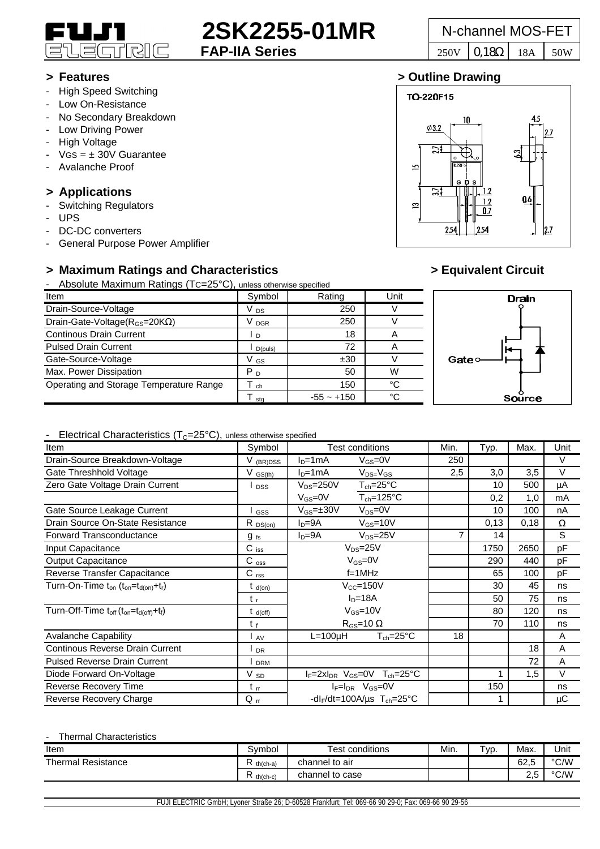

## **2SK2255-01MR** N-channel MOS-FET<br>FAP-IIA Series<br> $\frac{250 \text{V} \cdot \text{0.18}}{250 \text{V} \cdot \text{0.18}}$

- High Speed Switching
- Low On-Resistance
- No Secondary Breakdown
- Low Driving Power
- High Voltage
- $VGS = \pm 30V$  Guarantee
- Avalanche Proof

## **> Applications**

- Switching Regulators
- UPS
- DC-DC converters
- General Purpose Power Amplifier

## **> Maximum Ratings and Characteristics > Equivalent Circuit**

- Absolute Maximum Ratings (TC=25°C), unless otherwise specified

| Item                                         | Symbol          | Rating       | Unit |      |
|----------------------------------------------|-----------------|--------------|------|------|
| Drain-Source-Voltage                         | V <sub>DS</sub> | 250          |      |      |
| Drain-Gate-Voltage( $R_{GS}$ =20K $\Omega$ ) | <b>DGR</b>      | 250          |      |      |
| <b>Continous Drain Current</b>               | $\cdot$ D       | 18           |      |      |
| <b>Pulsed Drain Current</b>                  | D(puls)         | 72           |      |      |
| Gate-Source-Voltage                          | V GS            | ±30          |      | Gate |
| Max. Power Dissipation                       | P <sub>D</sub>  | 50           | W    |      |
| Operating and Storage Temperature Range      | ch              | 150          | °C   |      |
|                                              | sta             | $-55 - +150$ | °C   |      |

# **Drain**

Source

#### - Electrical Characteristics  $(T<sub>C</sub>=25<sup>o</sup>C)$ , unless otherwise specified

| Item                                                     | Symbol              | <b>Test conditions</b>                                | Min.                          | Typ. | Max. | Unit     |
|----------------------------------------------------------|---------------------|-------------------------------------------------------|-------------------------------|------|------|----------|
| Drain-Source Breakdown-Voltage                           | V (BR)DSS           | $ID=1mA$<br>$V_{GS} = 0V$                             | 250                           |      |      | $\vee$   |
| Gate Threshhold Voltage                                  | $V$ $GS(th)$        | $ID=1mA$<br>$V_{DS=}V_{GS}$                           | 2,5                           | 3,0  | 3,5  | $\vee$   |
| Zero Gate Voltage Drain Current                          | <b>DSS</b>          | $T_{ch} = 25^{\circ}C$<br>$V_{DS} = 250V$             |                               | 10   | 500  | μA       |
|                                                          |                     | $T_{ch} = 125$ °C<br>$V_{GS}=0V$                      |                               | 0,2  | 1,0  | mA       |
| Gate Source Leakage Current                              | GSS                 | $V_{GS} = \pm 30V$<br>$V_{DS} = 0V$                   |                               | 10   | 100  | nA       |
| Drain Source On-State Resistance                         | $R_{DS(on)}$        | $I_D = 9A$<br>$V_{GS} = 10V$                          |                               | 0,13 | 0,18 | $\Omega$ |
| Forward Transconductance                                 | $g_{fs}$            | $V_{DS} = 25V$<br>$I_D = 9A$                          | 7                             | 14   |      | S        |
| Input Capacitance                                        | $C$ iss             | $V_{DS}=25V$                                          |                               | 1750 | 2650 | pF       |
| <b>Output Capacitance</b>                                | $C_{\rm oss}$       | $V_{GS}=0V$                                           |                               | 290  | 440  | pF       |
| Reverse Transfer Capacitance                             | $C$ <sub>rss</sub>  | $f = 1$ MHz                                           |                               | 65   | 100  | pF       |
| Turn-On-Time $t_{on}$ ( $t_{on} = t_{d(on)} + t_r$ )     | $t_{\sf d(on)}$     | $V_{CC} = 150V$                                       |                               | 30   | 45   | ns       |
|                                                          | t.                  | $ID=18A$                                              |                               | 50   | 75   | ns       |
| Turn-Off-Time $t_{off}$ ( $t_{on} = t_{d (off)} + t_f$ ) | $t_{\text{d(off)}}$ | $V_{GS}$ =10V                                         |                               | 80   | 120  | ns       |
|                                                          | $t_f$               | $R_{GS}$ =10 $\Omega$                                 |                               | 70   | 110  | ns       |
| <b>Avalanche Capability</b>                              | AV                  | $L = 100 \mu H$                                       | $T_{ch} = 25^{\circ}$ C<br>18 |      |      | A        |
| Continous Reverse Drain Current                          | <b>DR</b>           |                                                       |                               |      | 18   | A        |
| <b>Pulsed Reverse Drain Current</b>                      | <b>DRM</b>          |                                                       |                               |      | 72   | A        |
| Diode Forward On-Voltage                                 | $V_{SD}$            | $I_F = 2xI_{DR}$ $V_{GS} = 0V$ $T_{ch} = 25^{\circ}C$ |                               |      | 1,5  | $\vee$   |
| Reverse Recovery Time                                    | $t_{rr}$            | $I_F = I_{DR}$ $V_{GS} = 0V$                          |                               | 150  |      | ns       |
| Reverse Recovery Charge                                  | $Q_{rr}$            | -dl <sub>F</sub> /dt=100A/us $T_{ch}$ =25°C           |                               |      |      | μC       |

#### Thermal Characteristics

| Item                      | Symbol        | <b>Test conditions</b> | Min. | $TVD$ . | Max.                    | Unit          |
|---------------------------|---------------|------------------------|------|---------|-------------------------|---------------|
| <b>Thermal Resistance</b> | $th(ch-a)$    | channel to air         |      |         | co<br>-<br>ס.∠ס         | °C/W          |
|                           | ∽<br>th(ch-c) | channel to case        |      |         | $\sim$ $\sim$<br>$\sim$ | $\degree$ C/W |

**> Features > Outline Drawing**





#### FUJI ELECTRIC GmbH; Lyoner Straße 26; D-60528 Frankfurt; Tel: 069-66 90 29-0; Fax: 069-66 90 29-56